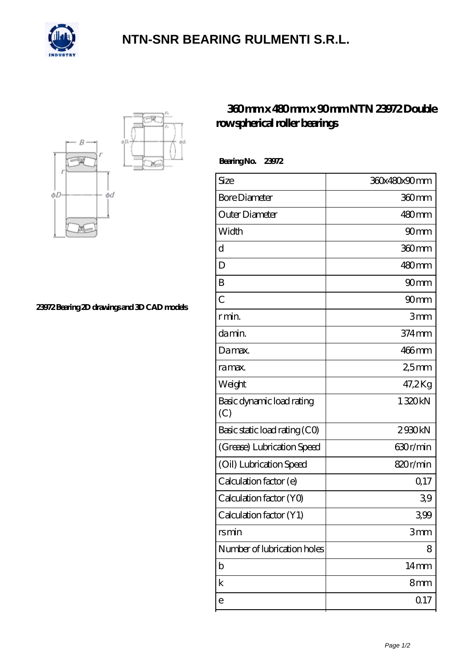

## **[NTN-SNR BEARING RULMENTI S.R.L.](https://m.confidencemenimprov.com)**



**[23972 Bearing 2D drawings and 3D CAD models](https://m.confidencemenimprov.com/pic-64974305.html)**

## **[360 mm x 480 mm x 90 mm NTN 23972 Double](https://m.confidencemenimprov.com/am-64974305-ntn-23972-double-row-spherical-roller-bearings.html) [row spherical roller bearings](https://m.confidencemenimprov.com/am-64974305-ntn-23972-double-row-spherical-roller-bearings.html)**

 **Bearing No. 23972**

| Size                             | 360x480x90mm        |
|----------------------------------|---------------------|
| <b>Bore Diameter</b>             | 360 <sub>mm</sub>   |
| Outer Diameter                   | 480mm               |
| Width                            | 90 <sub>mm</sub>    |
| d                                | 360mm               |
| D                                | 480mm               |
| B                                | 90 <sub>mm</sub>    |
| $\overline{C}$                   | 90 <sub>mm</sub>    |
| r min.                           | 3mm                 |
| da min.                          | $374 \,\mathrm{mm}$ |
| Damax.                           | 466mm               |
| ra max.                          | 2,5mm               |
| Weight                           | 47,2Kg              |
| Basic dynamic load rating<br>(C) | 1320kN              |
| Basic static load rating (CO)    | 2930kN              |
| (Grease) Lubrication Speed       | 630r/min            |
| (Oil) Lubrication Speed          | 820r/min            |
| Calculation factor (e)           | Q <sub>17</sub>     |
| Calculation factor (YO)          | 39                  |
| Calculation factor (Y1)          | 399                 |
| rsmin                            | 3mm                 |
| Number of lubrication holes      | 8                   |
| b                                | 14 <sub>mm</sub>    |
| k                                | 8mm                 |
| e                                | Q 17                |
|                                  |                     |